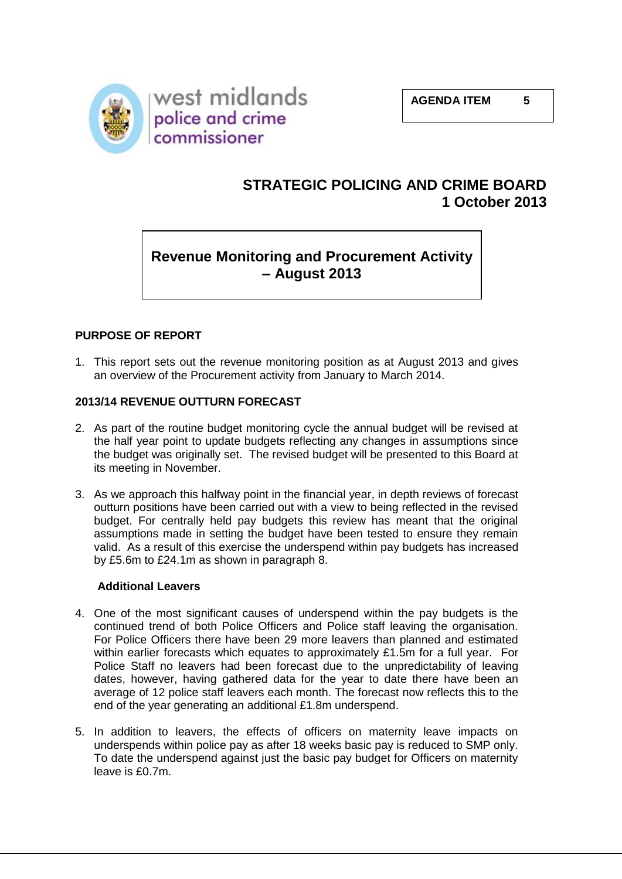

# **STRATEGIC POLICING AND CRIME BOARD 1 October 2013**

# **Revenue Monitoring and Procurement Activity – August 2013**

# **PURPOSE OF REPORT**

1. This report sets out the revenue monitoring position as at August 2013 and gives an overview of the Procurement activity from January to March 2014.

# **2013/14 REVENUE OUTTURN FORECAST**

- 2. As part of the routine budget monitoring cycle the annual budget will be revised at the half year point to update budgets reflecting any changes in assumptions since the budget was originally set. The revised budget will be presented to this Board at its meeting in November.
- 3. As we approach this halfway point in the financial year, in depth reviews of forecast outturn positions have been carried out with a view to being reflected in the revised budget. For centrally held pay budgets this review has meant that the original assumptions made in setting the budget have been tested to ensure they remain valid. As a result of this exercise the underspend within pay budgets has increased by £5.6m to £24.1m as shown in paragraph 8.

#### **Additional Leavers**

- 4. One of the most significant causes of underspend within the pay budgets is the continued trend of both Police Officers and Police staff leaving the organisation. For Police Officers there have been 29 more leavers than planned and estimated within earlier forecasts which equates to approximately £1.5m for a full year. For Police Staff no leavers had been forecast due to the unpredictability of leaving dates, however, having gathered data for the year to date there have been an average of 12 police staff leavers each month. The forecast now reflects this to the end of the year generating an additional £1.8m underspend.
- 5. In addition to leavers, the effects of officers on maternity leave impacts on underspends within police pay as after 18 weeks basic pay is reduced to SMP only. To date the underspend against just the basic pay budget for Officers on maternity leave is £0.7m.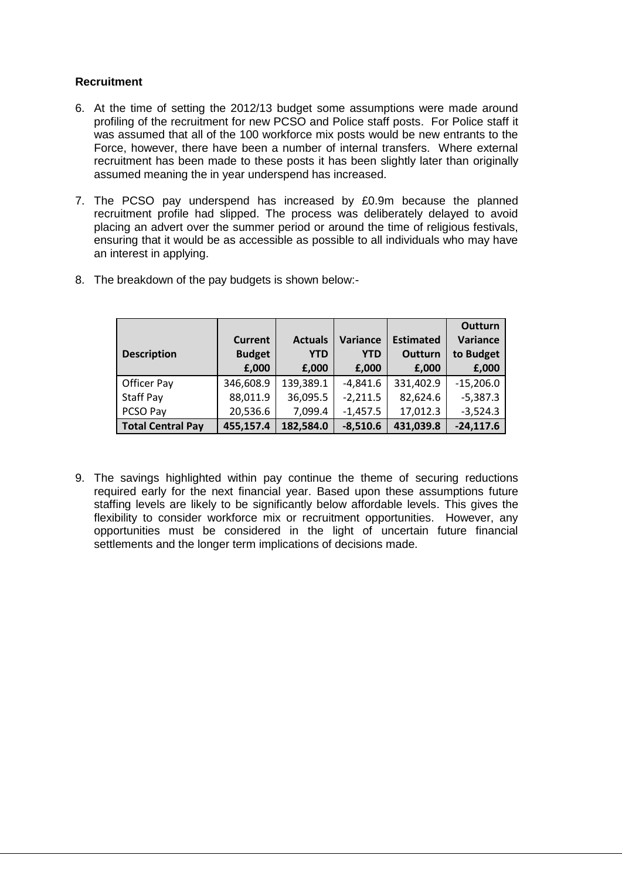#### **Recruitment**

- 6. At the time of setting the 2012/13 budget some assumptions were made around profiling of the recruitment for new PCSO and Police staff posts. For Police staff it was assumed that all of the 100 workforce mix posts would be new entrants to the Force, however, there have been a number of internal transfers. Where external recruitment has been made to these posts it has been slightly later than originally assumed meaning the in year underspend has increased.
- 7. The PCSO pay underspend has increased by £0.9m because the planned recruitment profile had slipped. The process was deliberately delayed to avoid placing an advert over the summer period or around the time of religious festivals, ensuring that it would be as accessible as possible to all individuals who may have an interest in applying.

| <b>Description</b>       | <b>Current</b><br><b>Budget</b><br>£,000 | <b>Actuals</b><br><b>YTD</b><br>£,000 | Variance<br><b>YTD</b><br>£,000 | <b>Estimated</b><br>Outturn<br>£,000 | <b>Outturn</b><br>Variance<br>to Budget<br>£,000 |
|--------------------------|------------------------------------------|---------------------------------------|---------------------------------|--------------------------------------|--------------------------------------------------|
| Officer Pay              | 346,608.9                                | 139,389.1                             | $-4,841.6$                      | 331,402.9                            | $-15,206.0$                                      |
| Staff Pay                | 88,011.9                                 | 36,095.5                              | $-2,211.5$                      | 82,624.6                             | $-5,387.3$                                       |
| PCSO Pay                 | 20,536.6                                 | 7,099.4                               | $-1,457.5$                      | 17,012.3                             | $-3,524.3$                                       |
| <b>Total Central Pay</b> | 455,157.4                                | 182,584.0                             | $-8,510.6$                      | 431,039.8                            | $-24,117.6$                                      |

8. The breakdown of the pay budgets is shown below:-

9. The savings highlighted within pay continue the theme of securing reductions required early for the next financial year. Based upon these assumptions future staffing levels are likely to be significantly below affordable levels. This gives the flexibility to consider workforce mix or recruitment opportunities. However, any opportunities must be considered in the light of uncertain future financial settlements and the longer term implications of decisions made.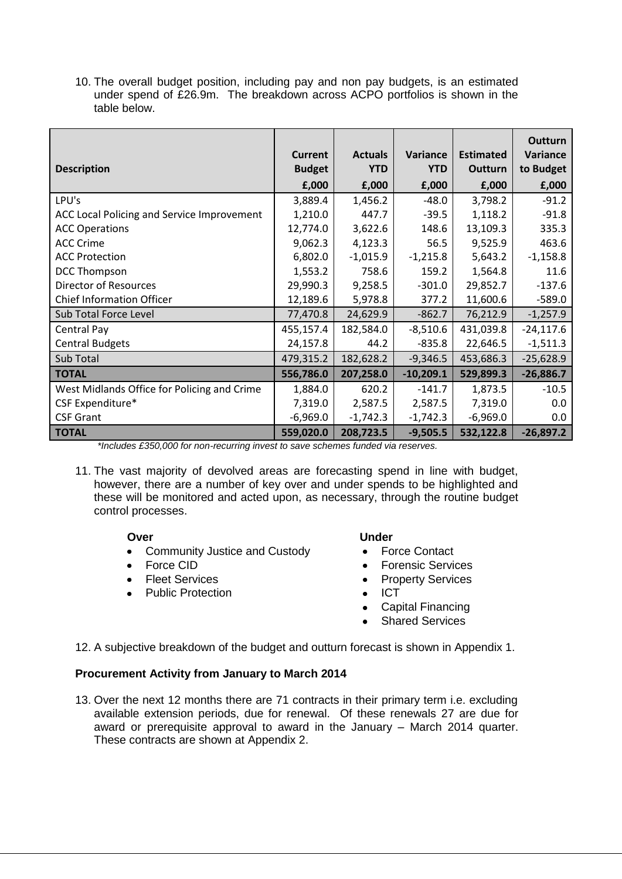10. The overall budget position, including pay and non pay budgets, is an estimated under spend of £26.9m. The breakdown across ACPO portfolios is shown in the table below.

|                                             | <b>Current</b> | <b>Actuals</b> | Variance    | <b>Estimated</b> | Outturn<br>Variance |
|---------------------------------------------|----------------|----------------|-------------|------------------|---------------------|
| <b>Description</b>                          | <b>Budget</b>  | <b>YTD</b>     | <b>YTD</b>  | Outturn          | to Budget           |
|                                             | E,000          | £,000          | £,000       | E,000            | £,000               |
| LPU's                                       | 3,889.4        | 1,456.2        | $-48.0$     | 3,798.2          | $-91.2$             |
| ACC Local Policing and Service Improvement  | 1,210.0        | 447.7          | $-39.5$     | 1,118.2          | $-91.8$             |
| <b>ACC Operations</b>                       | 12,774.0       | 3,622.6        | 148.6       | 13,109.3         | 335.3               |
| <b>ACC Crime</b>                            | 9,062.3        | 4,123.3        | 56.5        | 9,525.9          | 463.6               |
| <b>ACC Protection</b>                       | 6,802.0        | $-1,015.9$     | $-1,215.8$  | 5,643.2          | $-1,158.8$          |
| <b>DCC Thompson</b>                         | 1,553.2        | 758.6          | 159.2       | 1,564.8          | 11.6                |
| <b>Director of Resources</b>                | 29,990.3       | 9,258.5        | $-301.0$    | 29,852.7         | $-137.6$            |
| <b>Chief Information Officer</b>            | 12,189.6       | 5,978.8        | 377.2       | 11,600.6         | $-589.0$            |
| Sub Total Force Level                       | 77,470.8       | 24,629.9       | $-862.7$    | 76,212.9         | $-1,257.9$          |
| Central Pay                                 | 455,157.4      | 182,584.0      | $-8,510.6$  | 431,039.8        | $-24,117.6$         |
| <b>Central Budgets</b>                      | 24,157.8       | 44.2           | $-835.8$    | 22,646.5         | $-1,511.3$          |
| Sub Total                                   | 479,315.2      | 182,628.2      | $-9,346.5$  | 453,686.3        | $-25,628.9$         |
| <b>TOTAL</b>                                | 556,786.0      | 207,258.0      | $-10,209.1$ | 529,899.3        | $-26,886.7$         |
| West Midlands Office for Policing and Crime | 1,884.0        | 620.2          | $-141.7$    | 1,873.5          | $-10.5$             |
| CSF Expenditure*                            | 7,319.0        | 2,587.5        | 2,587.5     | 7,319.0          | 0.0                 |
| <b>CSF Grant</b>                            | $-6,969.0$     | $-1,742.3$     | $-1,742.3$  | $-6,969.0$       | $0.0\,$             |
| <b>TOTAL</b>                                | 559,020.0      | 208,723.5      | $-9,505.5$  | 532,122.8        | $-26,897.2$         |

*<sup>\*</sup>Includes £350,000 for non-recurring invest to save schemes funded via reserves.*

11. The vast majority of devolved areas are forecasting spend in line with budget, however, there are a number of key over and under spends to be highlighted and these will be monitored and acted upon, as necessary, through the routine budget control processes.

- Community Justice and Custody Force Contact
- 
- 
- Public Protection ICT

#### **Over Contract Contract Contract Contract Contract Contract Contract Contract Contract Contract Contract Contract Contract Contract Contract Contract Contract Contract Contract Contract Contract Contract Contract Contract**

- 
- Force CID **Forensic Services**
- Fleet Services **Property Services** 
	-
	- Capital Financing
	- Shared Services

12. A subjective breakdown of the budget and outturn forecast is shown in Appendix 1.

# **Procurement Activity from January to March 2014**

13. Over the next 12 months there are 71 contracts in their primary term i.e. excluding available extension periods, due for renewal. Of these renewals 27 are due for award or prerequisite approval to award in the January – March 2014 quarter. These contracts are shown at Appendix 2.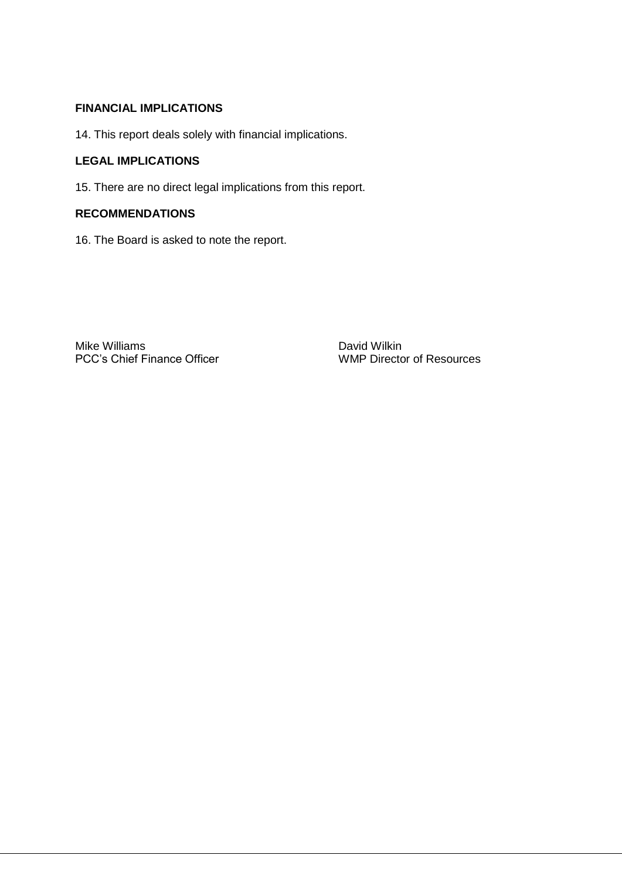# **FINANCIAL IMPLICATIONS**

14. This report deals solely with financial implications.

#### **LEGAL IMPLICATIONS**

15. There are no direct legal implications from this report.

# **RECOMMENDATIONS**

16. The Board is asked to note the report.

Mike Williams<br>
PCC's Chief Finance Officer<br>
WMP Director of Resources PCC's Chief Finance Officer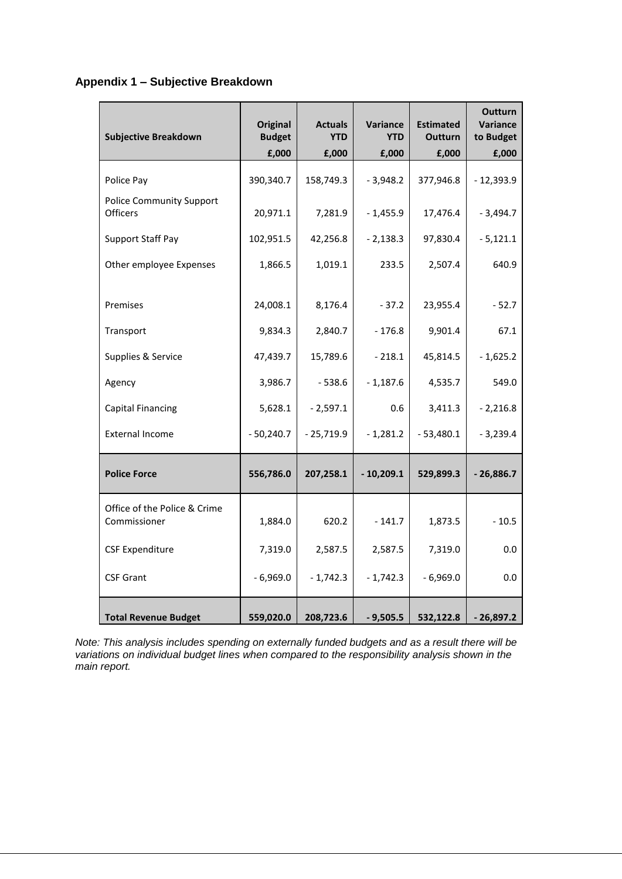# **Appendix 1 – Subjective Breakdown**

| <b>Subjective Breakdown</b>                        | <b>Original</b><br><b>Budget</b> | <b>Actuals</b><br><b>YTD</b> | Variance<br><b>YTD</b> | <b>Estimated</b><br><b>Outturn</b> | <b>Outturn</b><br>Variance<br>to Budget |
|----------------------------------------------------|----------------------------------|------------------------------|------------------------|------------------------------------|-----------------------------------------|
|                                                    | E,000                            | E,000                        | E,000                  | £,000                              | £,000                                   |
| Police Pay                                         | 390,340.7                        | 158,749.3                    | $-3,948.2$             | 377,946.8                          | $-12,393.9$                             |
| <b>Police Community Support</b><br><b>Officers</b> | 20,971.1                         | 7,281.9                      | $-1,455.9$             | 17,476.4                           | $-3,494.7$                              |
| <b>Support Staff Pay</b>                           | 102,951.5                        | 42,256.8                     | $-2,138.3$             | 97,830.4                           | $-5,121.1$                              |
| Other employee Expenses                            | 1,866.5                          | 1,019.1                      | 233.5                  | 2,507.4                            | 640.9                                   |
| Premises                                           | 24,008.1                         | 8,176.4                      | $-37.2$                | 23,955.4                           | $-52.7$                                 |
| Transport                                          | 9,834.3                          | 2,840.7                      | $-176.8$               | 9,901.4                            | 67.1                                    |
| Supplies & Service                                 | 47,439.7                         | 15,789.6                     | $-218.1$               | 45,814.5                           | $-1,625.2$                              |
| Agency                                             | 3,986.7                          | $-538.6$                     | $-1,187.6$             | 4,535.7                            | 549.0                                   |
| <b>Capital Financing</b>                           | 5,628.1                          | $-2,597.1$                   | 0.6                    | 3,411.3                            | $-2,216.8$                              |
| <b>External Income</b>                             | $-50,240.7$                      | $-25,719.9$                  | $-1,281.2$             | $-53,480.1$                        | $-3,239.4$                              |
| <b>Police Force</b>                                | 556,786.0                        | 207,258.1                    | $-10,209.1$            | 529,899.3                          | $-26,886.7$                             |
| Office of the Police & Crime<br>Commissioner       | 1,884.0                          | 620.2                        | $-141.7$               | 1,873.5                            | $-10.5$                                 |
| <b>CSF Expenditure</b>                             | 7,319.0                          | 2,587.5                      | 2,587.5                | 7,319.0                            | 0.0                                     |
| <b>CSF Grant</b>                                   | $-6,969.0$                       | $-1,742.3$                   | $-1,742.3$             | $-6,969.0$                         | 0.0                                     |
| <b>Total Revenue Budget</b>                        | 559,020.0                        | 208,723.6                    | $-9,505.5$             | 532,122.8                          | $-26,897.2$                             |

*Note: This analysis includes spending on externally funded budgets and as a result there will be variations on individual budget lines when compared to the responsibility analysis shown in the main report.*